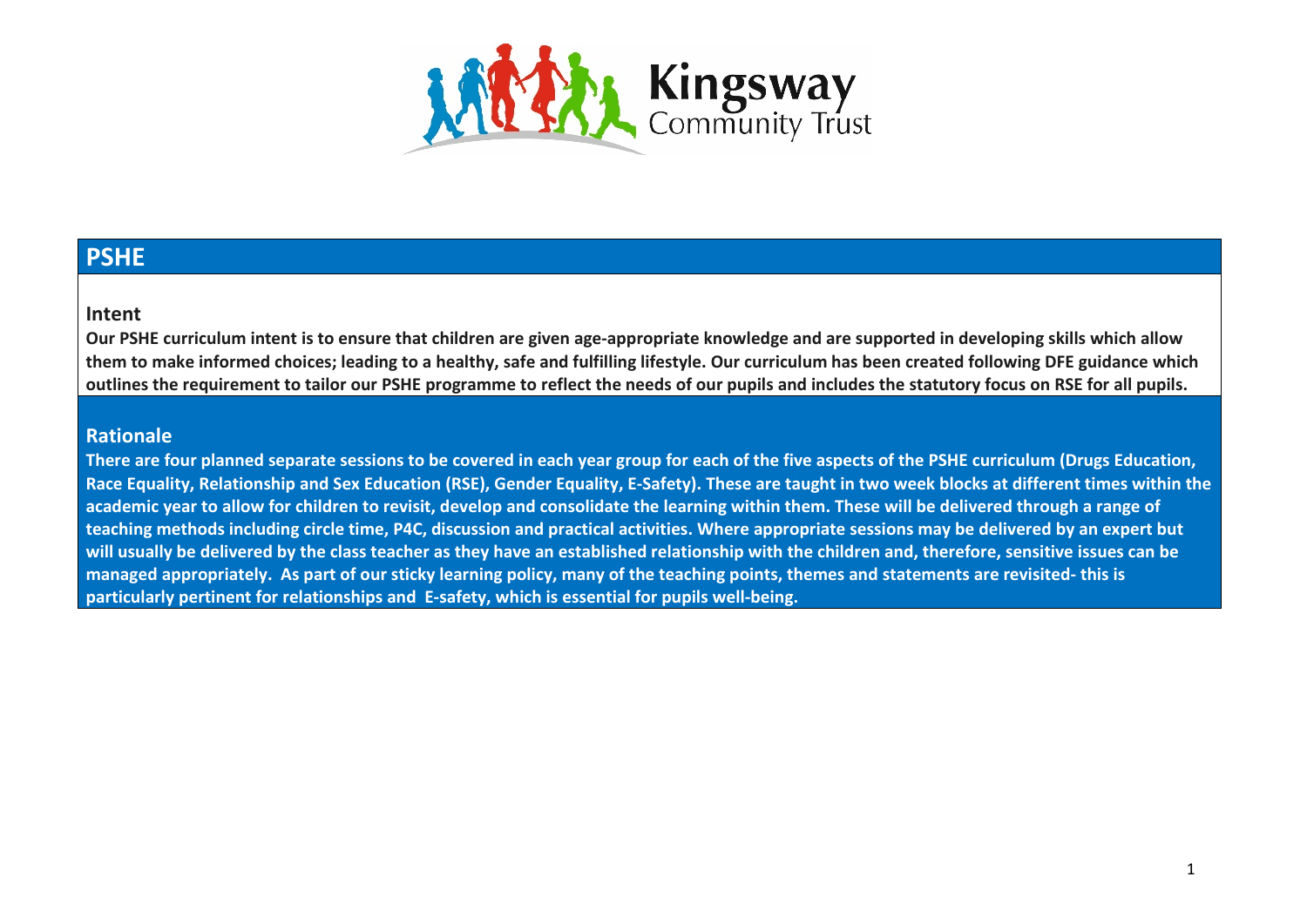

## **PSHE**

## **Intent**

**Our PSHE curriculum intent is to ensure that children are given age-appropriate knowledge and are supported in developing skills which allow them to make informed choices; leading to a healthy, safe and fulfilling lifestyle. Our curriculum has been created following DFE guidance which outlines the requirement to tailor our PSHE programme to reflect the needs of our pupils and includes the statutory focus on RSE for all pupils.**

## **Rationale**

**There are four planned separate sessions to be covered in each year group for each of the five aspects of the PSHE curriculum (Drugs Education, Race Equality, Relationship and Sex Education (RSE), Gender Equality, E-Safety). These are taught in two week blocks at different times within the academic year to allow for children to revisit, develop and consolidate the learning within them. These will be delivered through a range of teaching methods including circle time, P4C, discussion and practical activities. Where appropriate sessions may be delivered by an expert but will usually be delivered by the class teacher as they have an established relationship with the children and, therefore, sensitive issues can be managed appropriately. As part of our sticky learning policy, many of the teaching points, themes and statements are revisited- this is particularly pertinent for relationships and E-safety, which is essential for pupils well-being.**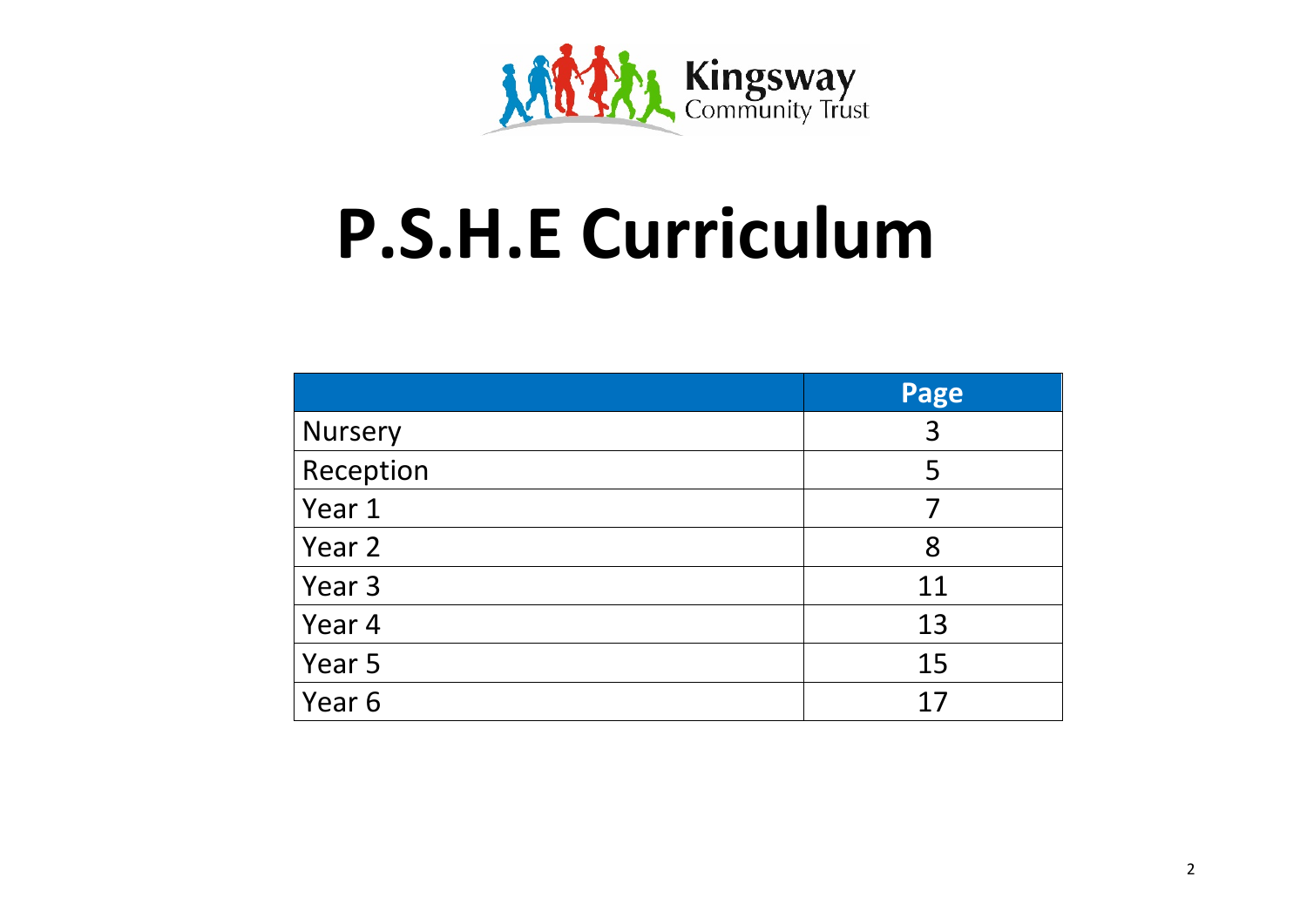

## **P.S.H.E Curriculum**

|                | Page |
|----------------|------|
| <b>Nursery</b> | 3    |
| Reception      | 5    |
| Year 1         | 7    |
| Year 2         | 8    |
| Year 3         | 11   |
| Year 4         | 13   |
| Year 5         | 15   |
| Year 6         | 17   |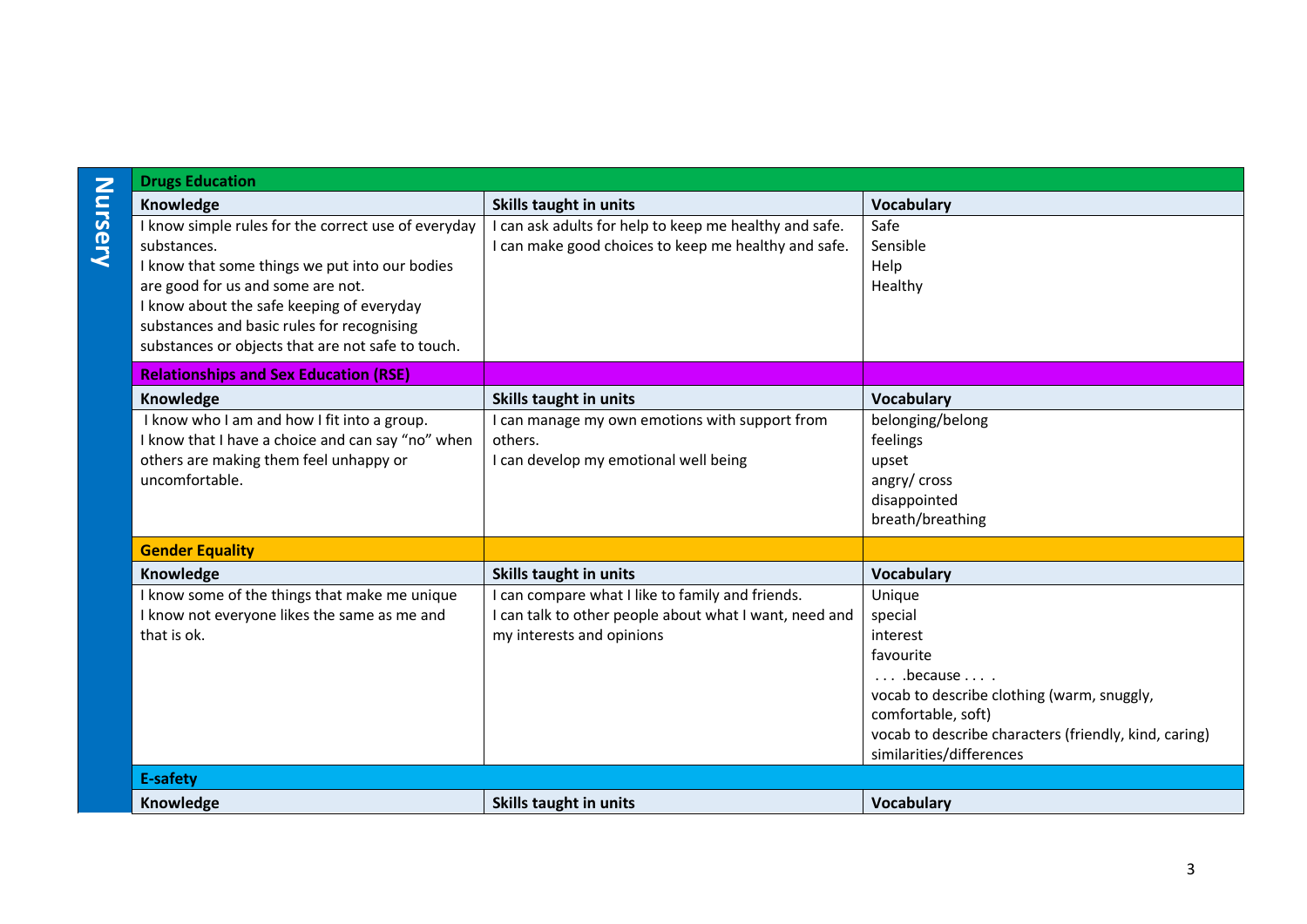| <b>Drugs Education</b>                                                                                                                                                                                                                               |                                                                                                                                         |                                                                                                                                                                                                                                    |
|------------------------------------------------------------------------------------------------------------------------------------------------------------------------------------------------------------------------------------------------------|-----------------------------------------------------------------------------------------------------------------------------------------|------------------------------------------------------------------------------------------------------------------------------------------------------------------------------------------------------------------------------------|
| Knowledge                                                                                                                                                                                                                                            | <b>Skills taught in units</b>                                                                                                           | <b>Vocabulary</b>                                                                                                                                                                                                                  |
| I know simple rules for the correct use of everyday<br>substances.<br>I know that some things we put into our bodies<br>are good for us and some are not.<br>I know about the safe keeping of everyday<br>substances and basic rules for recognising | I can ask adults for help to keep me healthy and safe.<br>I can make good choices to keep me healthy and safe.                          | Safe<br>Sensible<br>Help<br>Healthy                                                                                                                                                                                                |
| substances or objects that are not safe to touch.                                                                                                                                                                                                    |                                                                                                                                         |                                                                                                                                                                                                                                    |
| <b>Relationships and Sex Education (RSE)</b>                                                                                                                                                                                                         |                                                                                                                                         |                                                                                                                                                                                                                                    |
| Knowledge                                                                                                                                                                                                                                            | <b>Skills taught in units</b>                                                                                                           | Vocabulary                                                                                                                                                                                                                         |
| I know who I am and how I fit into a group.<br>I know that I have a choice and can say "no" when<br>others are making them feel unhappy or<br>uncomfortable.                                                                                         | I can manage my own emotions with support from<br>others.<br>I can develop my emotional well being                                      | belonging/belong<br>feelings<br>upset<br>angry/ cross<br>disappointed<br>breath/breathing                                                                                                                                          |
| <b>Gender Equality</b>                                                                                                                                                                                                                               |                                                                                                                                         |                                                                                                                                                                                                                                    |
| Knowledge                                                                                                                                                                                                                                            | <b>Skills taught in units</b>                                                                                                           | <b>Vocabulary</b>                                                                                                                                                                                                                  |
| I know some of the things that make me unique<br>I know not everyone likes the same as me and<br>that is ok.                                                                                                                                         | I can compare what I like to family and friends.<br>I can talk to other people about what I want, need and<br>my interests and opinions | Unique<br>special<br>interest<br>favourite<br>$\ldots$ because $\ldots$ .<br>vocab to describe clothing (warm, snuggly,<br>comfortable, soft)<br>vocab to describe characters (friendly, kind, caring)<br>similarities/differences |
| <b>E-safety</b>                                                                                                                                                                                                                                      |                                                                                                                                         |                                                                                                                                                                                                                                    |
| Knowledge                                                                                                                                                                                                                                            | <b>Skills taught in units</b>                                                                                                           | <b>Vocabulary</b>                                                                                                                                                                                                                  |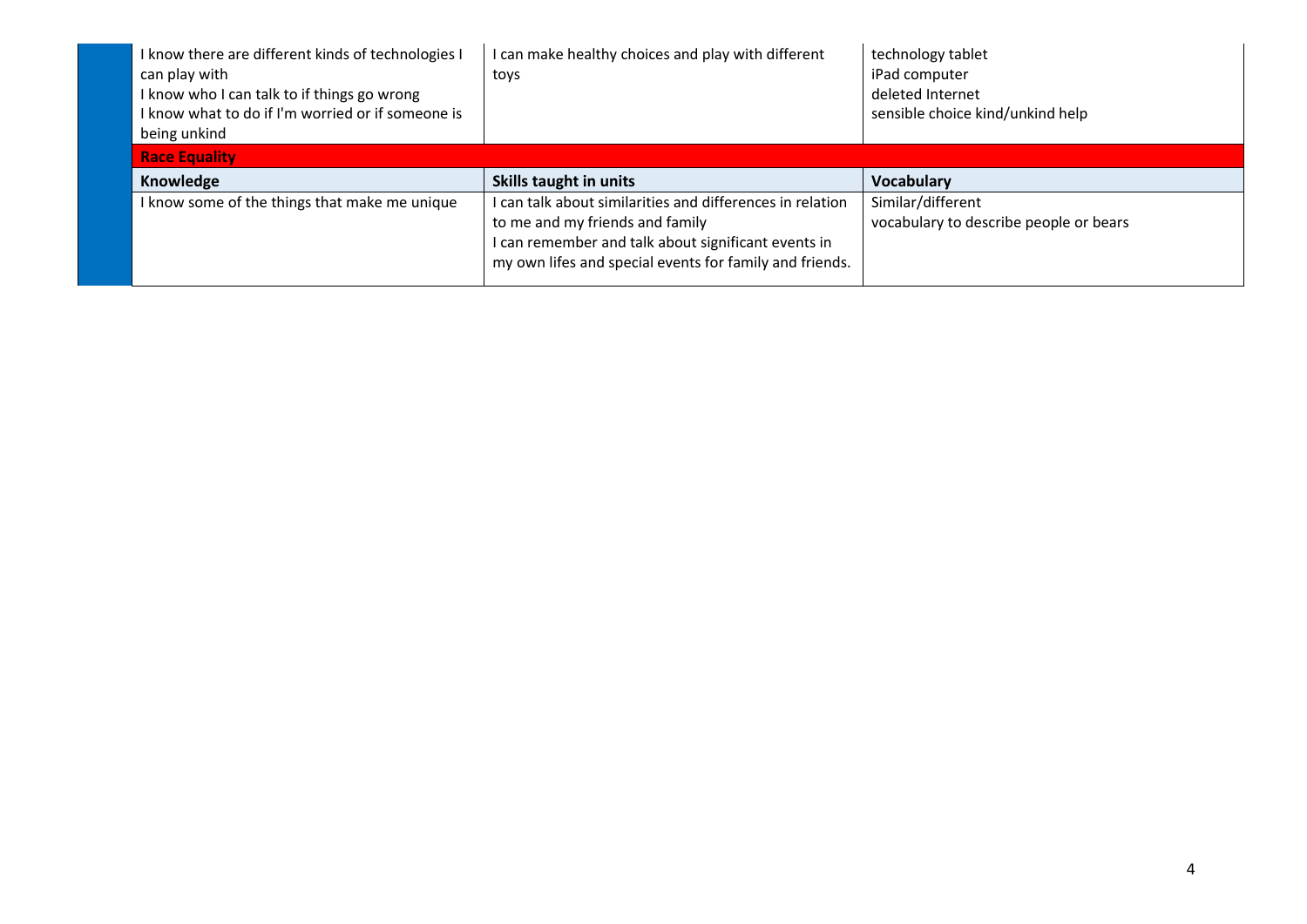| I know there are different kinds of technologies I<br>can play with<br>I know who I can talk to if things go wrong<br>I know what to do if I'm worried or if someone is | can make healthy choices and play with different<br>toys | technology tablet<br>iPad computer<br>deleted Internet<br>sensible choice kind/unkind help |
|-------------------------------------------------------------------------------------------------------------------------------------------------------------------------|----------------------------------------------------------|--------------------------------------------------------------------------------------------|
| being unkind                                                                                                                                                            |                                                          |                                                                                            |
| <b>Race Equality</b>                                                                                                                                                    |                                                          |                                                                                            |
|                                                                                                                                                                         |                                                          |                                                                                            |
| Knowledge                                                                                                                                                               | Skills taught in units                                   | <b>Vocabulary</b>                                                                          |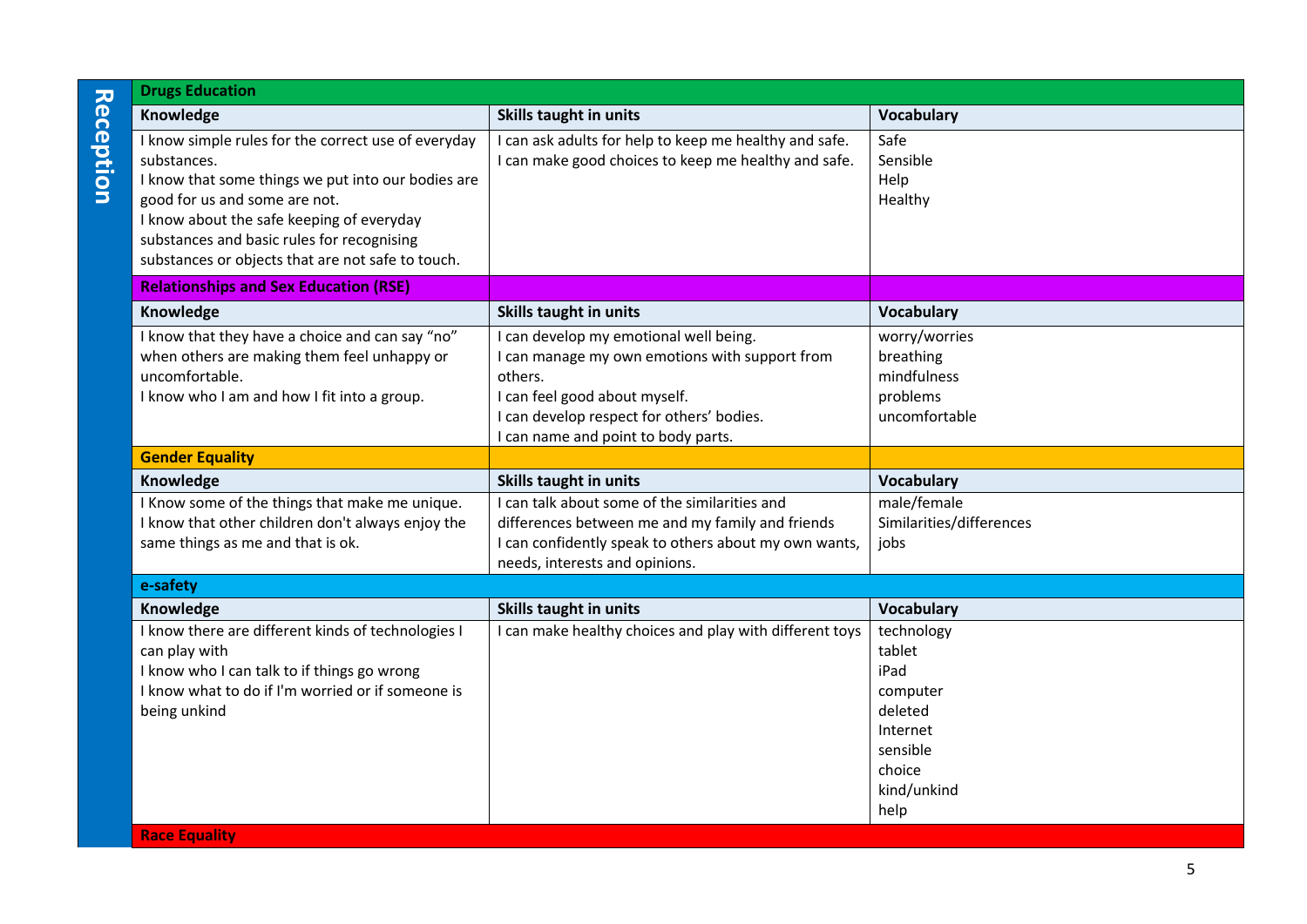|                  | <b>Drugs Education</b>                                                                                                                                                                                                                                                                                    |                                                                                                                                                                                                                      |                                                                                                              |  |
|------------------|-----------------------------------------------------------------------------------------------------------------------------------------------------------------------------------------------------------------------------------------------------------------------------------------------------------|----------------------------------------------------------------------------------------------------------------------------------------------------------------------------------------------------------------------|--------------------------------------------------------------------------------------------------------------|--|
|                  | Knowledge                                                                                                                                                                                                                                                                                                 | <b>Skills taught in units</b>                                                                                                                                                                                        | Vocabulary                                                                                                   |  |
| <b>Reception</b> | I know simple rules for the correct use of everyday<br>substances.<br>I know that some things we put into our bodies are<br>good for us and some are not.<br>I know about the safe keeping of everyday<br>substances and basic rules for recognising<br>substances or objects that are not safe to touch. | I can ask adults for help to keep me healthy and safe.<br>I can make good choices to keep me healthy and safe.                                                                                                       | Safe<br>Sensible<br>Help<br>Healthy                                                                          |  |
|                  | <b>Relationships and Sex Education (RSE)</b>                                                                                                                                                                                                                                                              |                                                                                                                                                                                                                      |                                                                                                              |  |
|                  | Knowledge                                                                                                                                                                                                                                                                                                 | <b>Skills taught in units</b>                                                                                                                                                                                        | Vocabulary                                                                                                   |  |
|                  | I know that they have a choice and can say "no"<br>when others are making them feel unhappy or<br>uncomfortable.<br>I know who I am and how I fit into a group.                                                                                                                                           | I can develop my emotional well being.<br>I can manage my own emotions with support from<br>others.<br>I can feel good about myself.<br>can develop respect for others' bodies.<br>can name and point to body parts. | worry/worries<br>breathing<br>mindfulness<br>problems<br>uncomfortable                                       |  |
|                  | <b>Gender Equality</b>                                                                                                                                                                                                                                                                                    |                                                                                                                                                                                                                      |                                                                                                              |  |
|                  | Knowledge                                                                                                                                                                                                                                                                                                 | <b>Skills taught in units</b>                                                                                                                                                                                        | Vocabulary                                                                                                   |  |
|                  | I Know some of the things that make me unique.<br>I know that other children don't always enjoy the<br>same things as me and that is ok.                                                                                                                                                                  | I can talk about some of the similarities and<br>differences between me and my family and friends<br>I can confidently speak to others about my own wants,<br>needs, interests and opinions.                         | male/female<br>Similarities/differences<br>jobs                                                              |  |
|                  | e-safety                                                                                                                                                                                                                                                                                                  |                                                                                                                                                                                                                      |                                                                                                              |  |
|                  | Knowledge                                                                                                                                                                                                                                                                                                 | <b>Skills taught in units</b>                                                                                                                                                                                        | Vocabulary                                                                                                   |  |
|                  | I know there are different kinds of technologies I<br>can play with<br>I know who I can talk to if things go wrong<br>I know what to do if I'm worried or if someone is<br>being unkind                                                                                                                   | I can make healthy choices and play with different toys                                                                                                                                                              | technology<br>tablet<br>iPad<br>computer<br>deleted<br>Internet<br>sensible<br>choice<br>kind/unkind<br>help |  |
|                  | <b>Race Equality</b>                                                                                                                                                                                                                                                                                      |                                                                                                                                                                                                                      |                                                                                                              |  |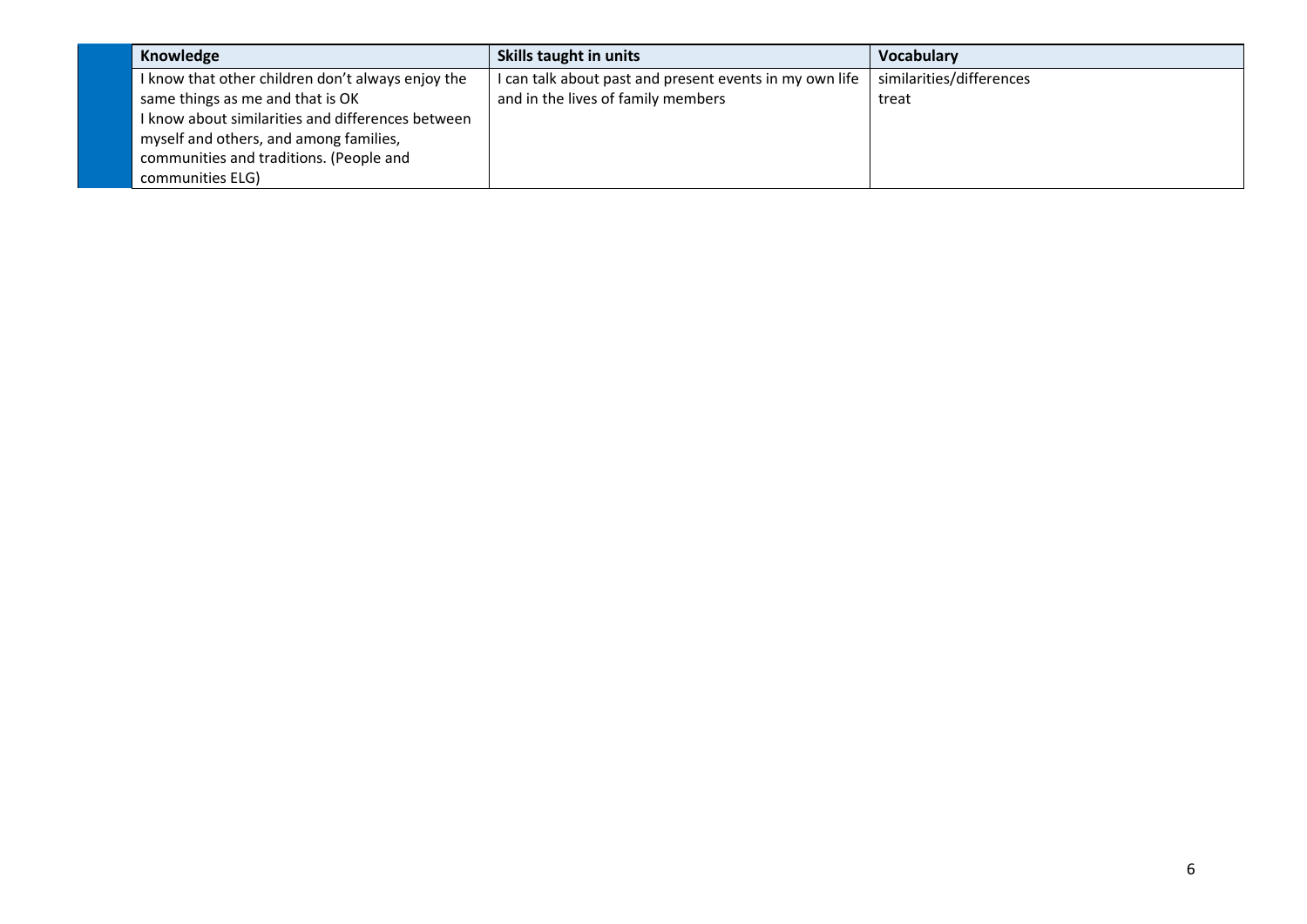| Knowledge                                         | Skills taught in units                                  | <b>Vocabulary</b>        |
|---------------------------------------------------|---------------------------------------------------------|--------------------------|
| I know that other children don't always enjoy the | I can talk about past and present events in my own life | similarities/differences |
| same things as me and that is OK                  | and in the lives of family members                      | treat                    |
| I know about similarities and differences between |                                                         |                          |
| myself and others, and among families,            |                                                         |                          |
| communities and traditions. (People and           |                                                         |                          |
| communities ELG)                                  |                                                         |                          |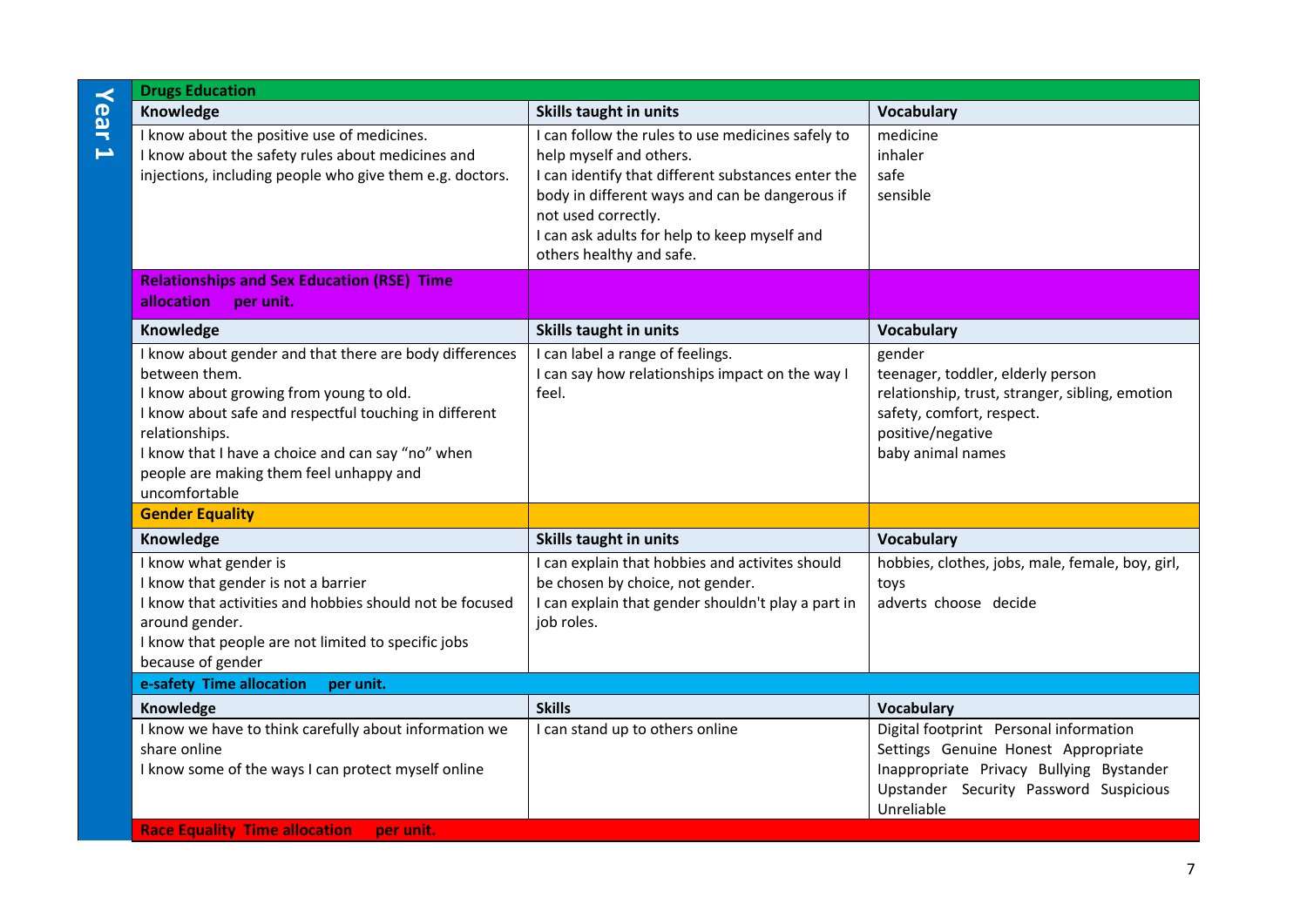|           | <b>Drugs Education</b>                                                                                                                                                                                                                                                                                           |                                                                                                                                                                                                                                                                                         |                                                                                                                                                                                   |
|-----------|------------------------------------------------------------------------------------------------------------------------------------------------------------------------------------------------------------------------------------------------------------------------------------------------------------------|-----------------------------------------------------------------------------------------------------------------------------------------------------------------------------------------------------------------------------------------------------------------------------------------|-----------------------------------------------------------------------------------------------------------------------------------------------------------------------------------|
| Year      | Knowledge                                                                                                                                                                                                                                                                                                        | Skills taught in units                                                                                                                                                                                                                                                                  | Vocabulary                                                                                                                                                                        |
| $\mapsto$ | I know about the positive use of medicines.<br>I know about the safety rules about medicines and<br>injections, including people who give them e.g. doctors.                                                                                                                                                     | I can follow the rules to use medicines safely to<br>help myself and others.<br>I can identify that different substances enter the<br>body in different ways and can be dangerous if<br>not used correctly.<br>I can ask adults for help to keep myself and<br>others healthy and safe. | medicine<br>inhaler<br>safe<br>sensible                                                                                                                                           |
|           | <b>Relationships and Sex Education (RSE) Time</b><br>allocation<br>per unit.                                                                                                                                                                                                                                     |                                                                                                                                                                                                                                                                                         |                                                                                                                                                                                   |
|           | Knowledge                                                                                                                                                                                                                                                                                                        | Skills taught in units                                                                                                                                                                                                                                                                  | Vocabulary                                                                                                                                                                        |
|           | I know about gender and that there are body differences<br>between them.<br>I know about growing from young to old.<br>I know about safe and respectful touching in different<br>relationships.<br>I know that I have a choice and can say "no" when<br>people are making them feel unhappy and<br>uncomfortable | I can label a range of feelings.<br>I can say how relationships impact on the way I<br>feel.                                                                                                                                                                                            | gender<br>teenager, toddler, elderly person<br>relationship, trust, stranger, sibling, emotion<br>safety, comfort, respect.<br>positive/negative<br>baby animal names             |
|           | <b>Gender Equality</b>                                                                                                                                                                                                                                                                                           |                                                                                                                                                                                                                                                                                         |                                                                                                                                                                                   |
|           | Knowledge                                                                                                                                                                                                                                                                                                        | <b>Skills taught in units</b>                                                                                                                                                                                                                                                           | <b>Vocabulary</b>                                                                                                                                                                 |
|           | I know what gender is<br>I know that gender is not a barrier<br>I know that activities and hobbies should not be focused<br>around gender.<br>I know that people are not limited to specific jobs<br>because of gender                                                                                           | I can explain that hobbies and activites should<br>be chosen by choice, not gender.<br>I can explain that gender shouldn't play a part in<br>job roles.                                                                                                                                 | hobbies, clothes, jobs, male, female, boy, girl,<br>toys<br>adverts choose decide                                                                                                 |
|           | e-safety Time allocation<br>per unit.                                                                                                                                                                                                                                                                            |                                                                                                                                                                                                                                                                                         |                                                                                                                                                                                   |
|           | Knowledge                                                                                                                                                                                                                                                                                                        | <b>Skills</b>                                                                                                                                                                                                                                                                           | <b>Vocabulary</b>                                                                                                                                                                 |
|           | I know we have to think carefully about information we<br>share online<br>I know some of the ways I can protect myself online                                                                                                                                                                                    | I can stand up to others online                                                                                                                                                                                                                                                         | Digital footprint Personal information<br>Settings Genuine Honest Appropriate<br>Inappropriate Privacy Bullying Bystander<br>Upstander Security Password Suspicious<br>Unreliable |
|           | <b>Race Equality Time allocation</b><br>per unit.                                                                                                                                                                                                                                                                |                                                                                                                                                                                                                                                                                         |                                                                                                                                                                                   |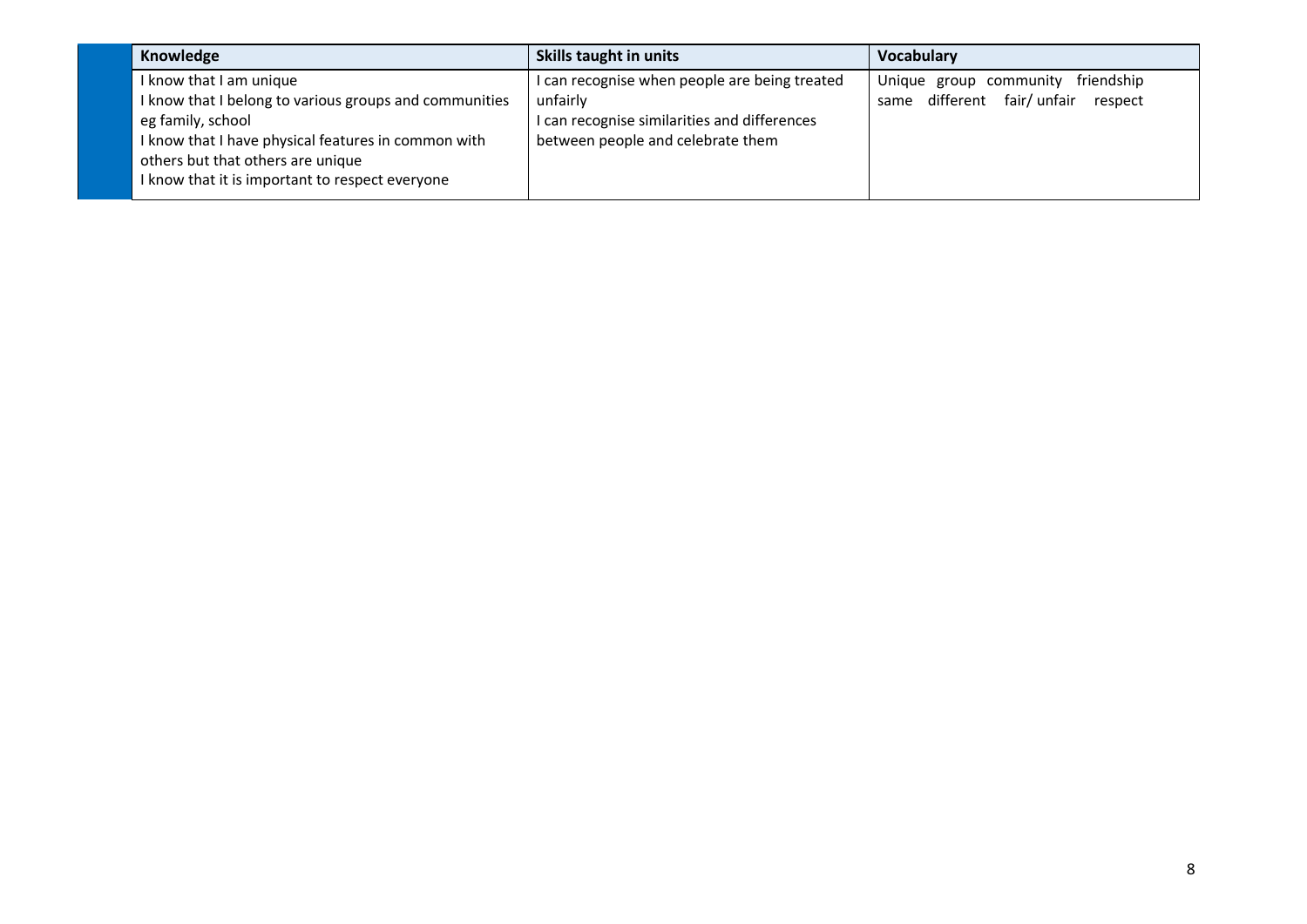| Knowledge                                                                                                                                                                                                                                             | Skills taught in units                                                                                                                       | <b>Vocabulary</b>                                                             |
|-------------------------------------------------------------------------------------------------------------------------------------------------------------------------------------------------------------------------------------------------------|----------------------------------------------------------------------------------------------------------------------------------------------|-------------------------------------------------------------------------------|
| I know that I am unique<br>I know that I belong to various groups and communities<br>eg family, school<br>I know that I have physical features in common with<br>others but that others are unique<br>I know that it is important to respect everyone | I can recognise when people are being treated<br>unfairly<br>can recognise similarities and differences<br>between people and celebrate them | friendship<br>Unique group community<br>same different fair/unfair<br>respect |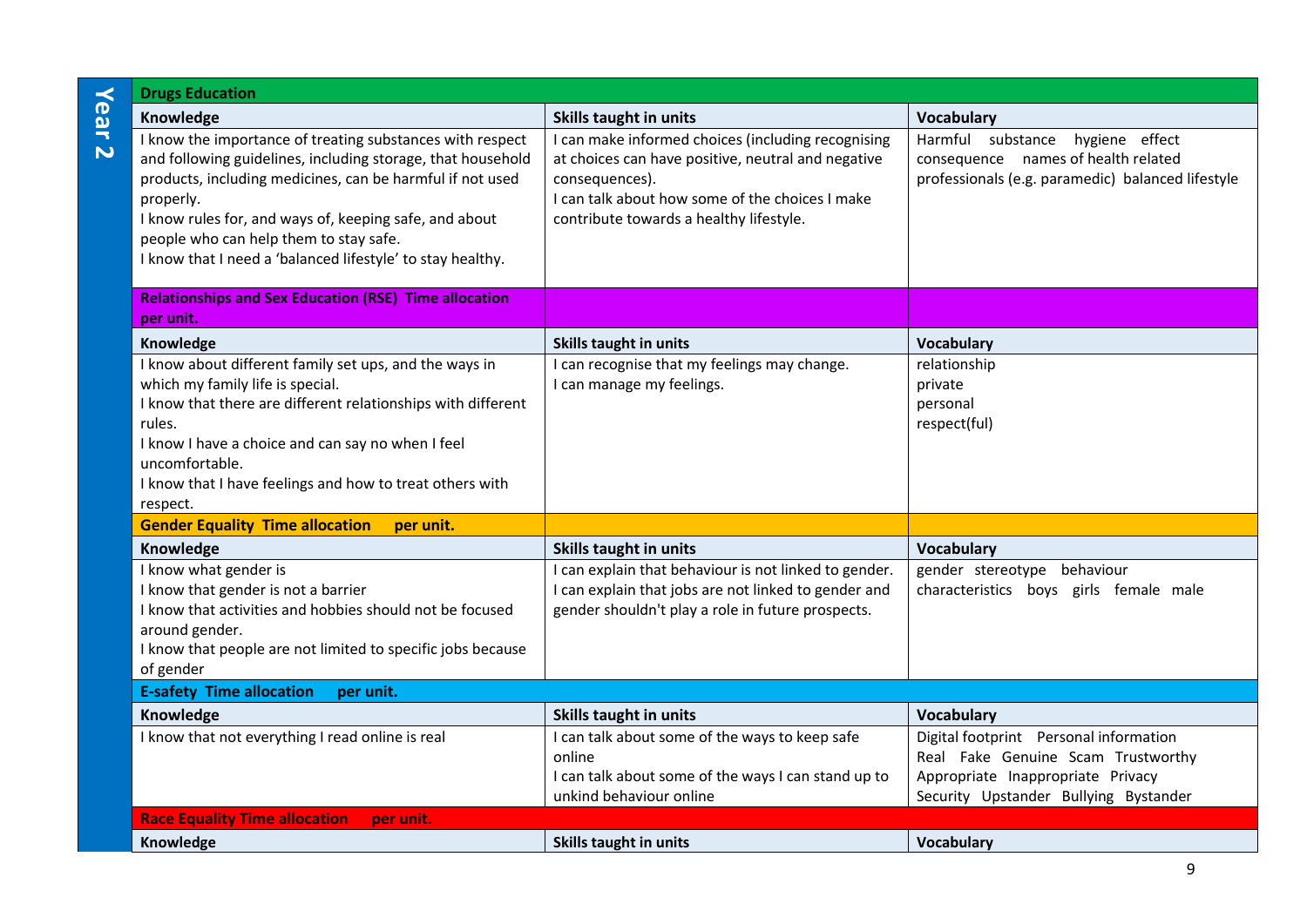| $\prec$                 | <b>Drugs Education</b>                                                                                                                                                                                                                                                                                                                                               |                                                                                                                                                                                                                          |                                                                                                                                                            |
|-------------------------|----------------------------------------------------------------------------------------------------------------------------------------------------------------------------------------------------------------------------------------------------------------------------------------------------------------------------------------------------------------------|--------------------------------------------------------------------------------------------------------------------------------------------------------------------------------------------------------------------------|------------------------------------------------------------------------------------------------------------------------------------------------------------|
| ear                     | Knowledge                                                                                                                                                                                                                                                                                                                                                            | Skills taught in units                                                                                                                                                                                                   | <b>Vocabulary</b>                                                                                                                                          |
| $\overline{\mathbf{v}}$ | I know the importance of treating substances with respect<br>and following guidelines, including storage, that household<br>products, including medicines, can be harmful if not used<br>properly.<br>I know rules for, and ways of, keeping safe, and about<br>people who can help them to stay safe.<br>I know that I need a 'balanced lifestyle' to stay healthy. | I can make informed choices (including recognising<br>at choices can have positive, neutral and negative<br>consequences).<br>I can talk about how some of the choices I make<br>contribute towards a healthy lifestyle. | Harmful substance<br>hygiene effect<br>consequence names of health related<br>professionals (e.g. paramedic) balanced lifestyle                            |
|                         | <b>Relationships and Sex Education (RSE) Time allocation</b><br>per unit.                                                                                                                                                                                                                                                                                            |                                                                                                                                                                                                                          |                                                                                                                                                            |
|                         | Knowledge                                                                                                                                                                                                                                                                                                                                                            | <b>Skills taught in units</b>                                                                                                                                                                                            | Vocabulary                                                                                                                                                 |
|                         | I know about different family set ups, and the ways in<br>which my family life is special.<br>I know that there are different relationships with different<br>rules.<br>I know I have a choice and can say no when I feel<br>uncomfortable.<br>I know that I have feelings and how to treat others with<br>respect.                                                  | I can recognise that my feelings may change.<br>I can manage my feelings.                                                                                                                                                | relationship<br>private<br>personal<br>respect(ful)                                                                                                        |
|                         | <b>Gender Equality Time allocation</b><br>per unit.                                                                                                                                                                                                                                                                                                                  |                                                                                                                                                                                                                          |                                                                                                                                                            |
|                         | Knowledge                                                                                                                                                                                                                                                                                                                                                            | Skills taught in units                                                                                                                                                                                                   | <b>Vocabulary</b>                                                                                                                                          |
|                         | I know what gender is<br>I know that gender is not a barrier<br>I know that activities and hobbies should not be focused<br>around gender.<br>I know that people are not limited to specific jobs because<br>of gender                                                                                                                                               | I can explain that behaviour is not linked to gender.<br>I can explain that jobs are not linked to gender and<br>gender shouldn't play a role in future prospects.                                                       | gender stereotype behaviour<br>characteristics boys girls female male                                                                                      |
|                         | <b>E-safety Time allocation</b><br>per unit.                                                                                                                                                                                                                                                                                                                         |                                                                                                                                                                                                                          |                                                                                                                                                            |
|                         | Knowledge                                                                                                                                                                                                                                                                                                                                                            | Skills taught in units                                                                                                                                                                                                   | <b>Vocabulary</b>                                                                                                                                          |
|                         | I know that not everything I read online is real                                                                                                                                                                                                                                                                                                                     | I can talk about some of the ways to keep safe<br>online<br>I can talk about some of the ways I can stand up to<br>unkind behaviour online                                                                               | Digital footprint Personal information<br>Real Fake Genuine Scam Trustworthy<br>Appropriate Inappropriate Privacy<br>Security Upstander Bullying Bystander |
|                         | <b>Race Equality Time allocation</b><br>per unit.                                                                                                                                                                                                                                                                                                                    |                                                                                                                                                                                                                          |                                                                                                                                                            |
|                         | Knowledge                                                                                                                                                                                                                                                                                                                                                            | Skills taught in units                                                                                                                                                                                                   | <b>Vocabulary</b>                                                                                                                                          |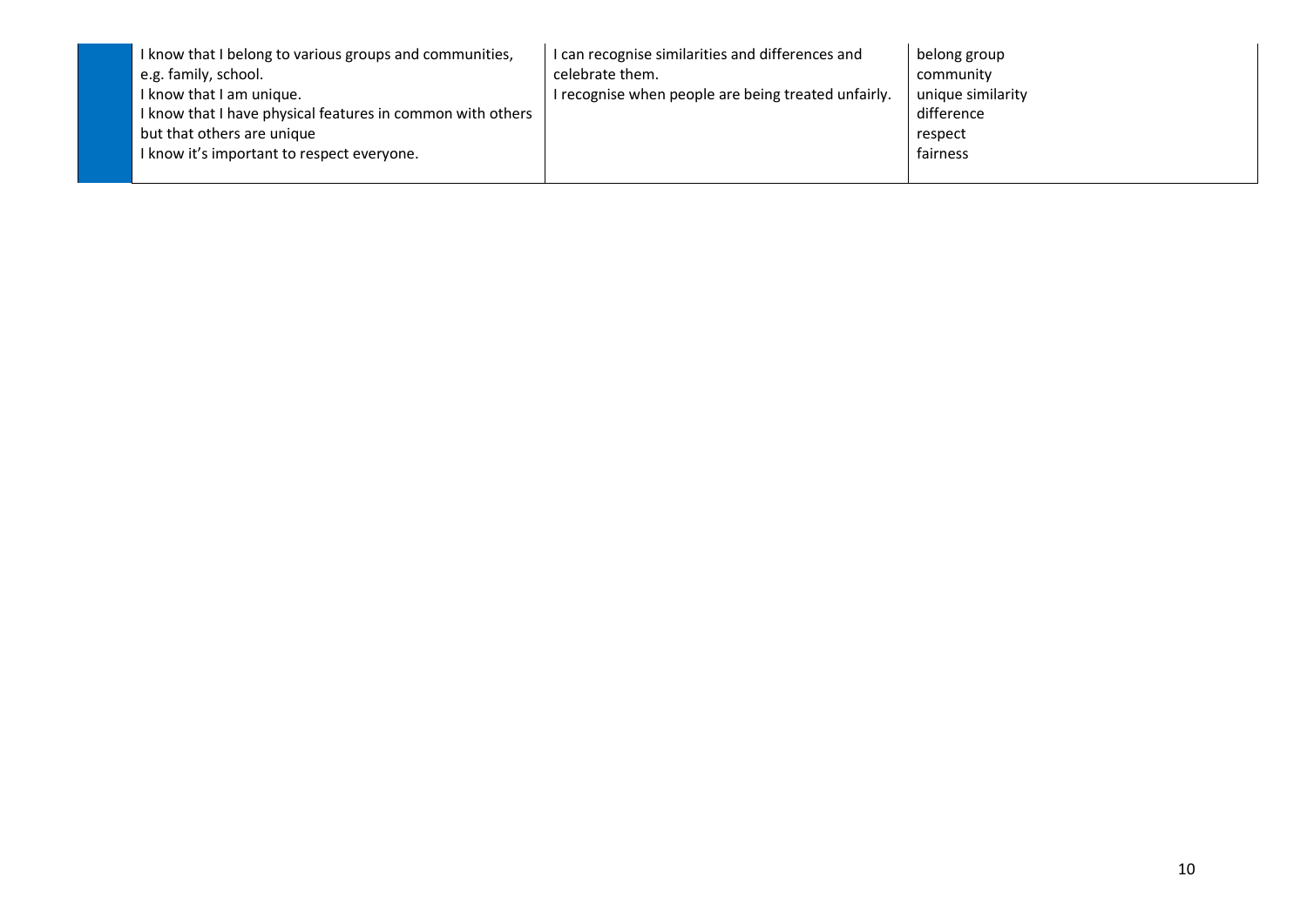| I know that I belong to various groups and communities,    | I can recognise similarities and differences and    | belong group      |
|------------------------------------------------------------|-----------------------------------------------------|-------------------|
| e.g. family, school.                                       | celebrate them.                                     | community         |
| I know that I am unique.                                   | I recognise when people are being treated unfairly. | unique similarity |
| I know that I have physical features in common with others |                                                     | difference        |
| but that others are unique                                 |                                                     | respect           |
| I know it's important to respect everyone.                 |                                                     | fairness          |
|                                                            |                                                     |                   |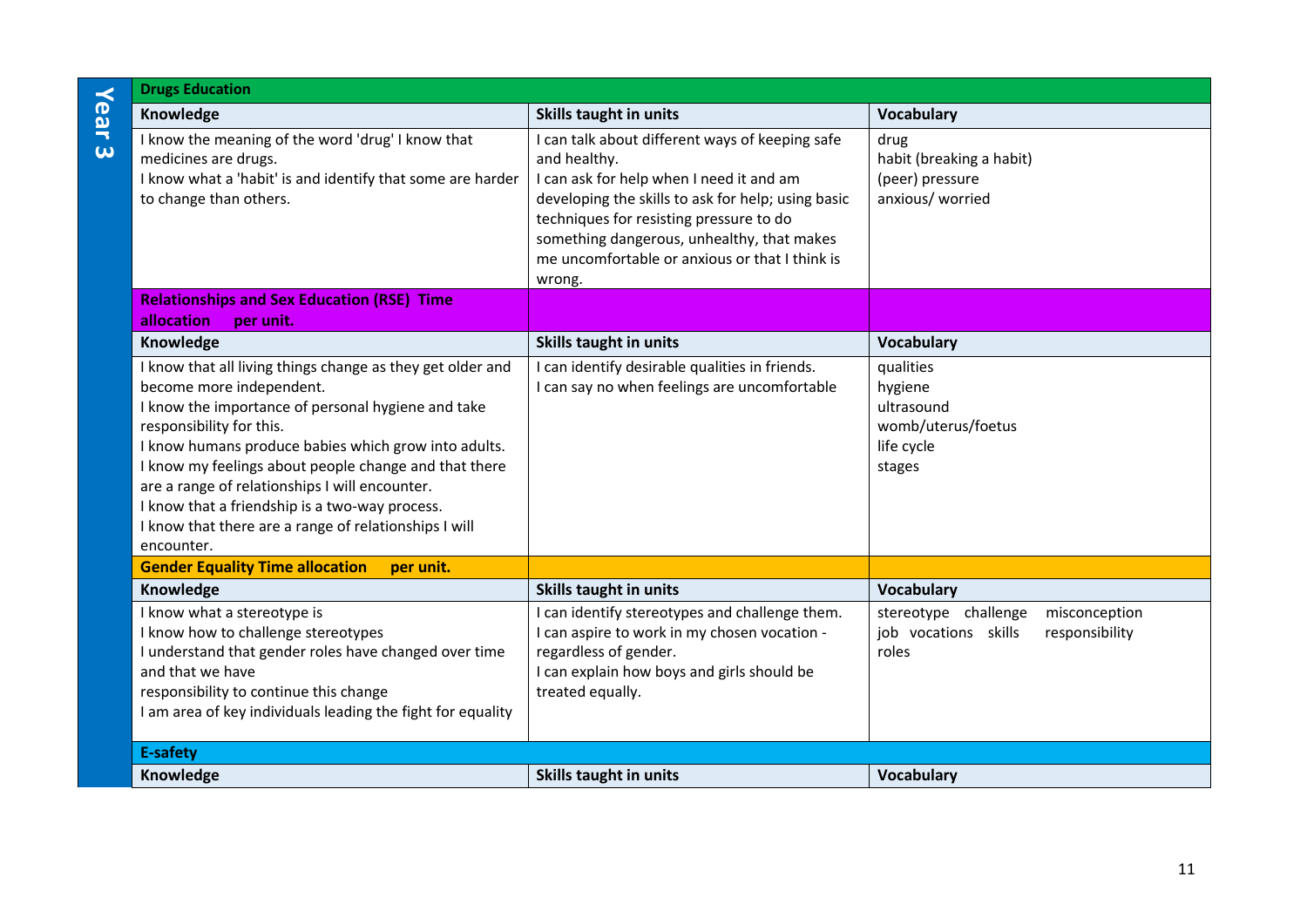|                     | <b>Drugs Education</b>                                                                                                                                                                                                                                                                                                                                                                                                                                               |                                                                                                                                                                                                                                                                                                                        |                                                                                          |
|---------------------|----------------------------------------------------------------------------------------------------------------------------------------------------------------------------------------------------------------------------------------------------------------------------------------------------------------------------------------------------------------------------------------------------------------------------------------------------------------------|------------------------------------------------------------------------------------------------------------------------------------------------------------------------------------------------------------------------------------------------------------------------------------------------------------------------|------------------------------------------------------------------------------------------|
| Year                | Knowledge                                                                                                                                                                                                                                                                                                                                                                                                                                                            | Skills taught in units                                                                                                                                                                                                                                                                                                 | <b>Vocabulary</b>                                                                        |
| $\overline{\omega}$ | I know the meaning of the word 'drug' I know that<br>medicines are drugs.<br>I know what a 'habit' is and identify that some are harder<br>to change than others.                                                                                                                                                                                                                                                                                                    | I can talk about different ways of keeping safe<br>and healthy.<br>I can ask for help when I need it and am<br>developing the skills to ask for help; using basic<br>techniques for resisting pressure to do<br>something dangerous, unhealthy, that makes<br>me uncomfortable or anxious or that I think is<br>wrong. | drug<br>habit (breaking a habit)<br>(peer) pressure<br>anxious/ worried                  |
|                     | <b>Relationships and Sex Education (RSE) Time</b><br>allocation<br>per unit.                                                                                                                                                                                                                                                                                                                                                                                         |                                                                                                                                                                                                                                                                                                                        |                                                                                          |
|                     | Knowledge                                                                                                                                                                                                                                                                                                                                                                                                                                                            | Skills taught in units                                                                                                                                                                                                                                                                                                 | <b>Vocabulary</b>                                                                        |
|                     | I know that all living things change as they get older and<br>become more independent.<br>I know the importance of personal hygiene and take<br>responsibility for this.<br>I know humans produce babies which grow into adults.<br>I know my feelings about people change and that there<br>are a range of relationships I will encounter.<br>I know that a friendship is a two-way process.<br>I know that there are a range of relationships I will<br>encounter. | I can identify desirable qualities in friends.<br>I can say no when feelings are uncomfortable                                                                                                                                                                                                                         | qualities<br>hygiene<br>ultrasound<br>womb/uterus/foetus<br>life cycle<br>stages         |
|                     | <b>Gender Equality Time allocation</b><br>per unit.                                                                                                                                                                                                                                                                                                                                                                                                                  |                                                                                                                                                                                                                                                                                                                        |                                                                                          |
|                     | Knowledge                                                                                                                                                                                                                                                                                                                                                                                                                                                            | Skills taught in units                                                                                                                                                                                                                                                                                                 | <b>Vocabulary</b>                                                                        |
|                     | I know what a stereotype is<br>I know how to challenge stereotypes<br>I understand that gender roles have changed over time<br>and that we have<br>responsibility to continue this change<br>I am area of key individuals leading the fight for equality                                                                                                                                                                                                             | I can identify stereotypes and challenge them.<br>I can aspire to work in my chosen vocation -<br>regardless of gender.<br>I can explain how boys and girls should be<br>treated equally.                                                                                                                              | misconception<br>stereotype challenge<br>responsibility<br>job vocations skills<br>roles |
|                     | <b>E-safety</b>                                                                                                                                                                                                                                                                                                                                                                                                                                                      |                                                                                                                                                                                                                                                                                                                        |                                                                                          |
|                     | Knowledge                                                                                                                                                                                                                                                                                                                                                                                                                                                            | <b>Skills taught in units</b>                                                                                                                                                                                                                                                                                          | <b>Vocabulary</b>                                                                        |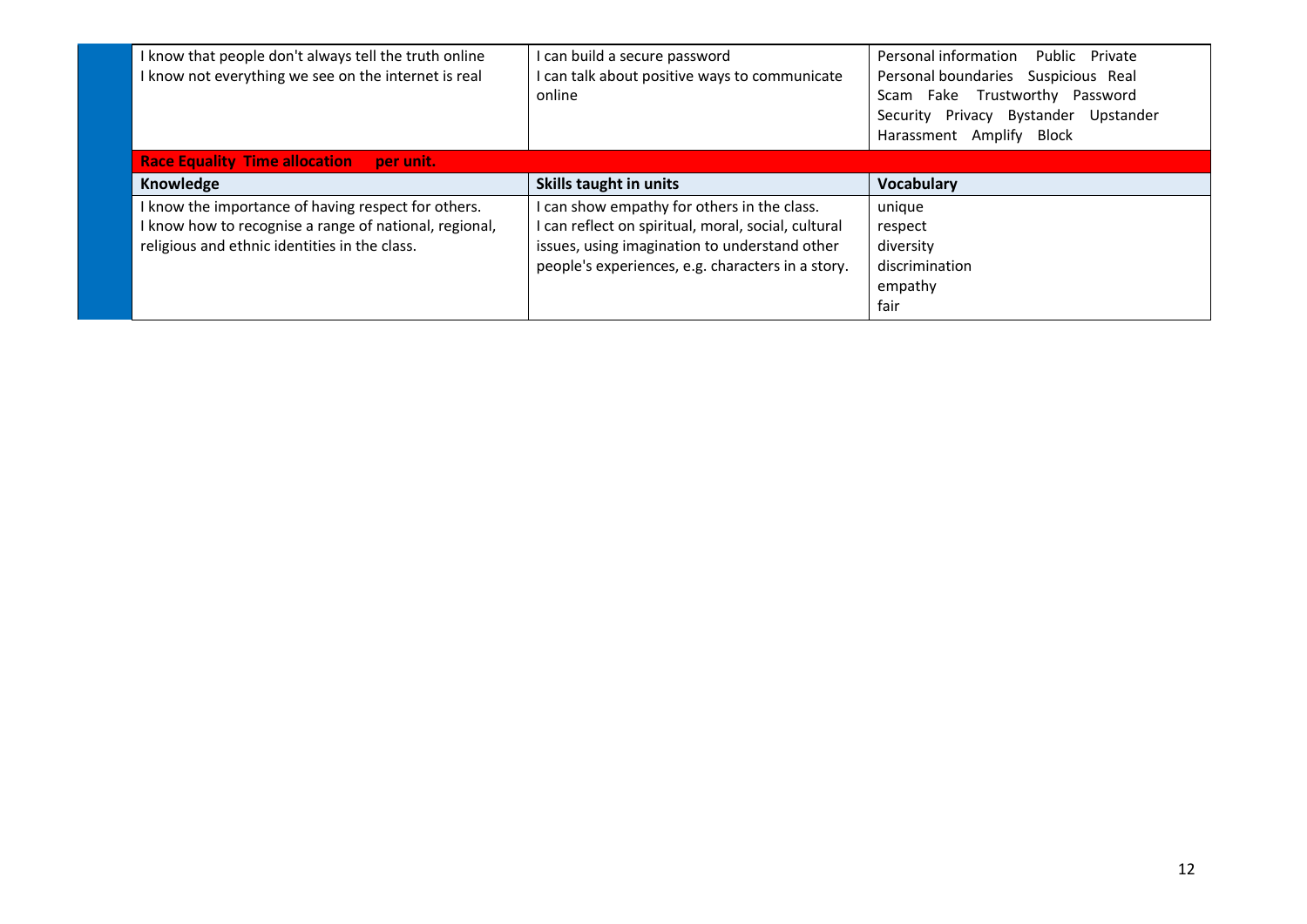| I know that people don't always tell the truth online<br>know not everything we see on the internet is real                                                  | I can build a secure password<br>I can talk about positive ways to communicate<br>online                                                                                                                 | Personal information<br>Public Private<br>Personal boundaries Suspicious Real<br>Scam Fake Trustworthy Password<br>Privacy Bystander Upstander<br>Security<br>Harassment Amplify<br>Block |
|--------------------------------------------------------------------------------------------------------------------------------------------------------------|----------------------------------------------------------------------------------------------------------------------------------------------------------------------------------------------------------|-------------------------------------------------------------------------------------------------------------------------------------------------------------------------------------------|
| <b>Race Equality Time allocation</b><br>per unit.                                                                                                            |                                                                                                                                                                                                          |                                                                                                                                                                                           |
| Knowledge                                                                                                                                                    | Skills taught in units                                                                                                                                                                                   | <b>Vocabulary</b>                                                                                                                                                                         |
| I know the importance of having respect for others.<br>know how to recognise a range of national, regional,<br>religious and ethnic identities in the class. | I can show empathy for others in the class.<br>I can reflect on spiritual, moral, social, cultural<br>issues, using imagination to understand other<br>people's experiences, e.g. characters in a story. | unique<br>respect<br>diversity<br>discrimination<br>empathy<br>fair                                                                                                                       |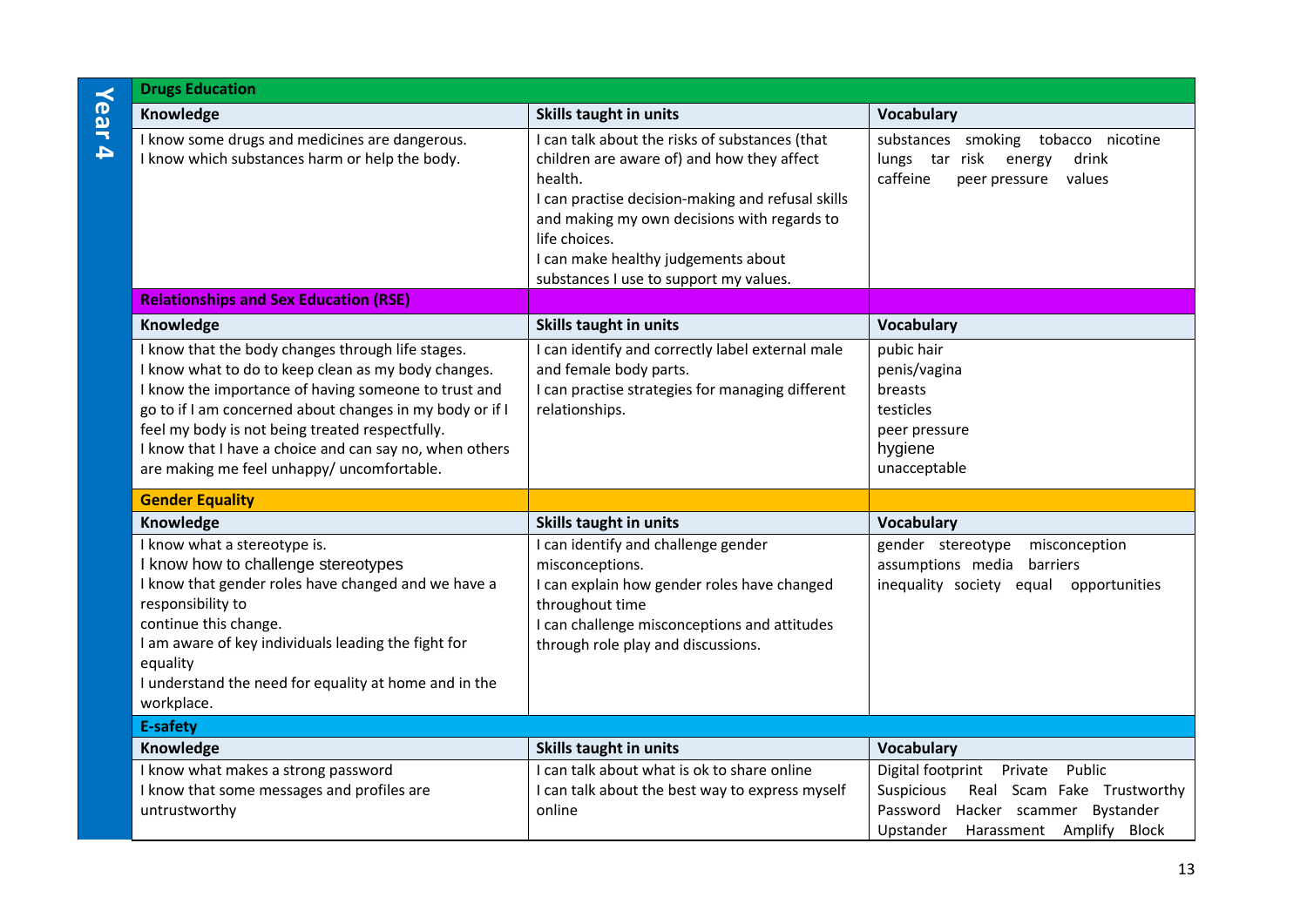| <b>Drugs Education</b>                                                                                                                                                                                                                                                                                                                                                                   |                                                                                                                                                                                                                                                                                                               |                                                                                                                                                            |
|------------------------------------------------------------------------------------------------------------------------------------------------------------------------------------------------------------------------------------------------------------------------------------------------------------------------------------------------------------------------------------------|---------------------------------------------------------------------------------------------------------------------------------------------------------------------------------------------------------------------------------------------------------------------------------------------------------------|------------------------------------------------------------------------------------------------------------------------------------------------------------|
| Knowledge                                                                                                                                                                                                                                                                                                                                                                                | <b>Skills taught in units</b>                                                                                                                                                                                                                                                                                 | <b>Vocabulary</b>                                                                                                                                          |
| I know some drugs and medicines are dangerous.<br>I know which substances harm or help the body.                                                                                                                                                                                                                                                                                         | I can talk about the risks of substances (that<br>children are aware of) and how they affect<br>health.<br>I can practise decision-making and refusal skills<br>and making my own decisions with regards to<br>life choices.<br>I can make healthy judgements about<br>substances I use to support my values. | substances smoking tobacco nicotine<br>lungs tar risk energy<br>drink<br>caffeine<br>peer pressure values                                                  |
| <b>Relationships and Sex Education (RSE)</b>                                                                                                                                                                                                                                                                                                                                             |                                                                                                                                                                                                                                                                                                               |                                                                                                                                                            |
| Knowledge                                                                                                                                                                                                                                                                                                                                                                                | <b>Skills taught in units</b>                                                                                                                                                                                                                                                                                 | <b>Vocabulary</b>                                                                                                                                          |
| I know that the body changes through life stages.<br>I know what to do to keep clean as my body changes.<br>I know the importance of having someone to trust and<br>go to if I am concerned about changes in my body or if I<br>feel my body is not being treated respectfully.<br>I know that I have a choice and can say no, when others<br>are making me feel unhappy/ uncomfortable. | I can identify and correctly label external male<br>and female body parts.<br>I can practise strategies for managing different<br>relationships.                                                                                                                                                              | pubic hair<br>penis/vagina<br>breasts<br>testicles<br>peer pressure<br>hygiene<br>unacceptable                                                             |
| <b>Gender Equality</b>                                                                                                                                                                                                                                                                                                                                                                   |                                                                                                                                                                                                                                                                                                               |                                                                                                                                                            |
| Knowledge                                                                                                                                                                                                                                                                                                                                                                                | <b>Skills taught in units</b>                                                                                                                                                                                                                                                                                 | <b>Vocabulary</b>                                                                                                                                          |
| I know what a stereotype is.<br>I know how to challenge stereotypes<br>I know that gender roles have changed and we have a<br>responsibility to<br>continue this change.<br>I am aware of key individuals leading the fight for<br>equality<br>I understand the need for equality at home and in the<br>workplace.                                                                       | I can identify and challenge gender<br>misconceptions.<br>I can explain how gender roles have changed<br>throughout time<br>I can challenge misconceptions and attitudes<br>through role play and discussions.                                                                                                | gender stereotype<br>misconception<br>assumptions media barriers<br>inequality society equal opportunities                                                 |
| <b>E-safety</b>                                                                                                                                                                                                                                                                                                                                                                          |                                                                                                                                                                                                                                                                                                               |                                                                                                                                                            |
| Knowledge                                                                                                                                                                                                                                                                                                                                                                                | <b>Skills taught in units</b>                                                                                                                                                                                                                                                                                 | <b>Vocabulary</b>                                                                                                                                          |
| I know what makes a strong password<br>I know that some messages and profiles are<br>untrustworthy                                                                                                                                                                                                                                                                                       | I can talk about what is ok to share online<br>I can talk about the best way to express myself<br>online                                                                                                                                                                                                      | Digital footprint Private<br>Public<br>Suspicious<br>Real Scam Fake Trustworthy<br>Password Hacker scammer Bystander<br>Upstander Harassment Amplify Block |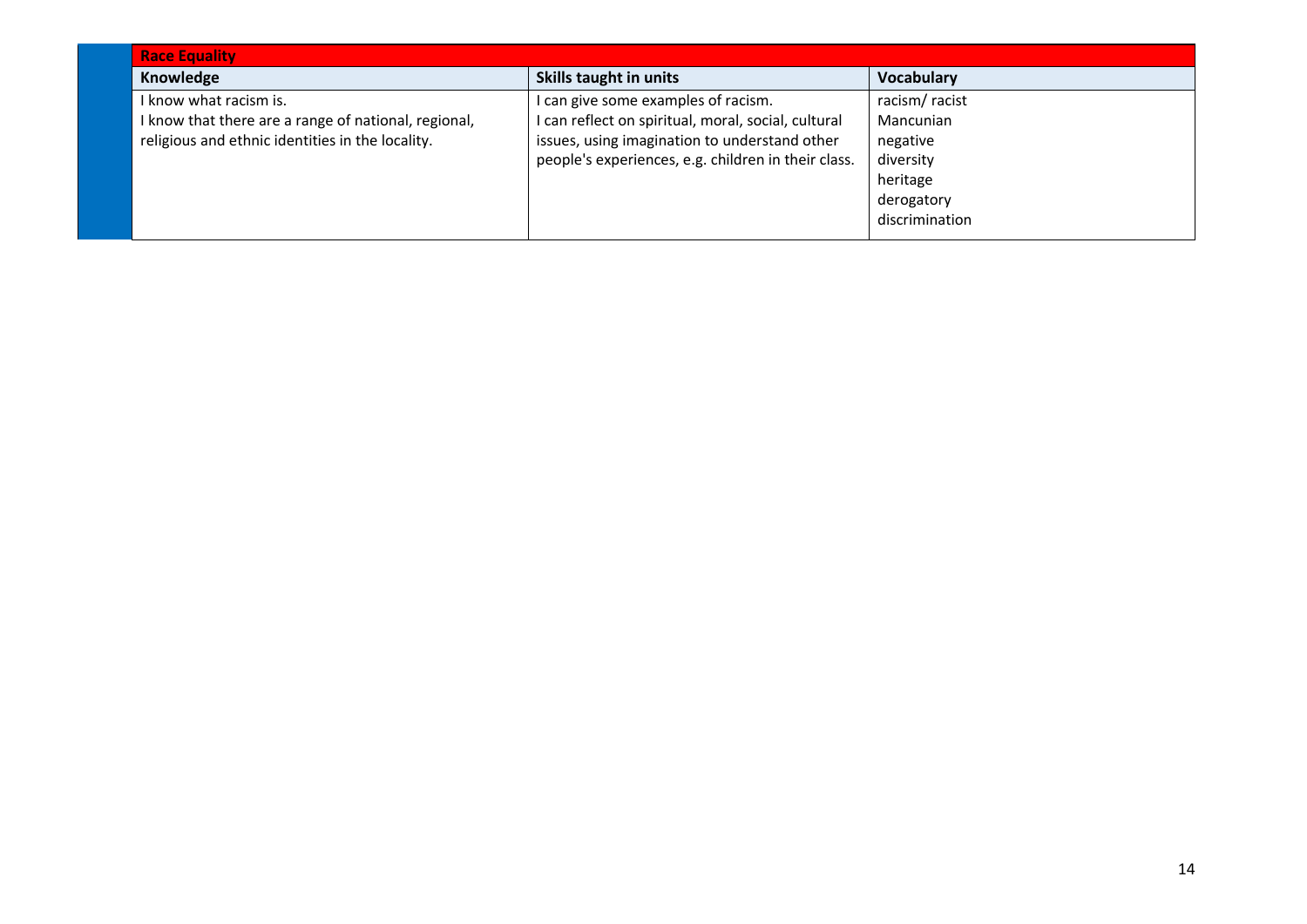| <b>Race Equality</b>                                 |                                                     |                   |
|------------------------------------------------------|-----------------------------------------------------|-------------------|
| Knowledge                                            | Skills taught in units                              | <b>Vocabulary</b> |
| I know what racism is.                               | I can give some examples of racism.                 | racism/racist     |
| I know that there are a range of national, regional, | I can reflect on spiritual, moral, social, cultural | Mancunian         |
| religious and ethnic identities in the locality.     | issues, using imagination to understand other       | negative          |
|                                                      | people's experiences, e.g. children in their class. | diversity         |
|                                                      |                                                     | heritage          |
|                                                      |                                                     | derogatory        |
|                                                      |                                                     | discrimination    |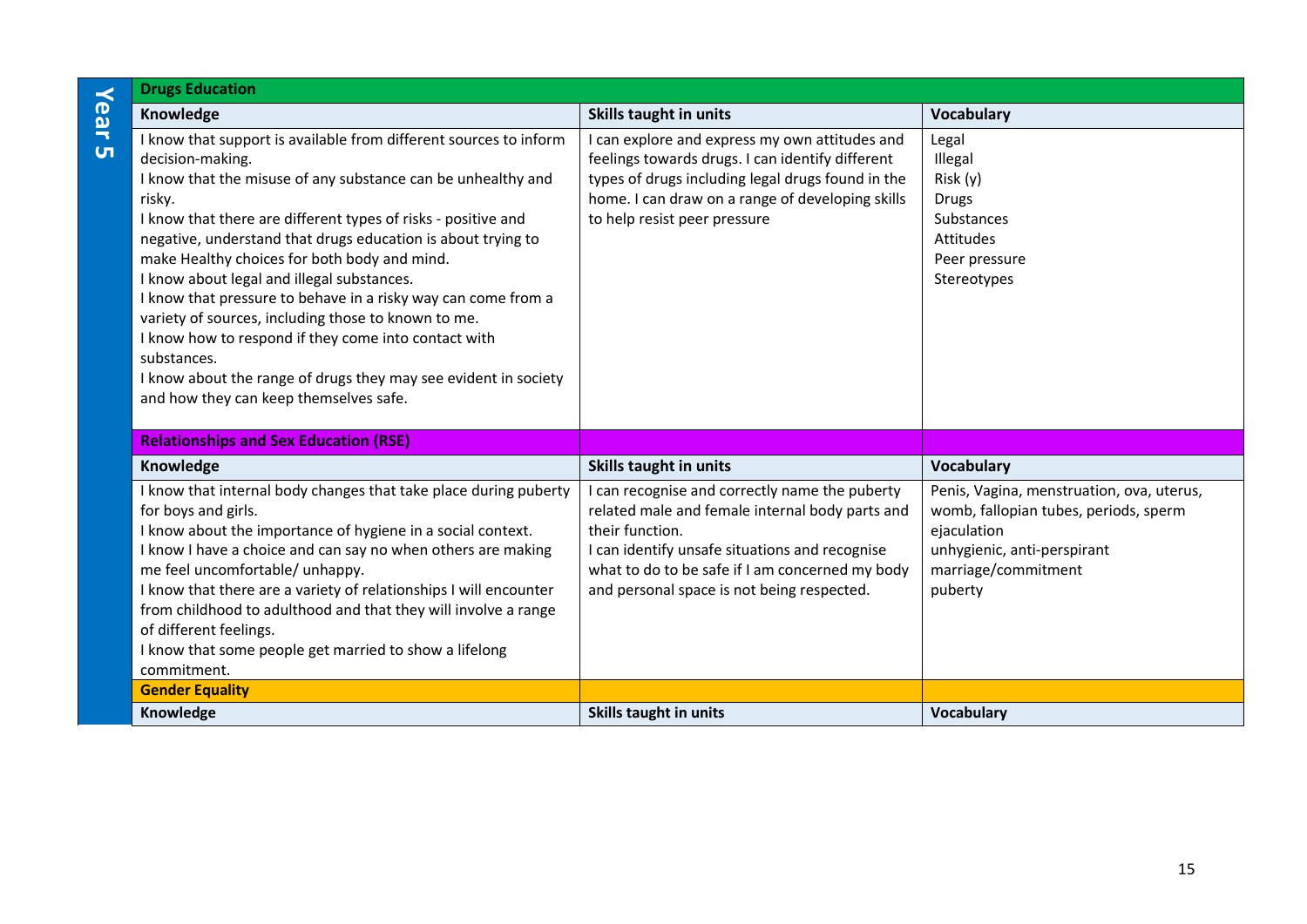| $\prec$        | <b>Drugs Education</b>                                                                                                                                                                                                                                                                                                                                                                                                                                                                                                                                                                                                                                                                                     |                                                                                                                                                                                                                                                                       |                                                                                                                                                                    |
|----------------|------------------------------------------------------------------------------------------------------------------------------------------------------------------------------------------------------------------------------------------------------------------------------------------------------------------------------------------------------------------------------------------------------------------------------------------------------------------------------------------------------------------------------------------------------------------------------------------------------------------------------------------------------------------------------------------------------------|-----------------------------------------------------------------------------------------------------------------------------------------------------------------------------------------------------------------------------------------------------------------------|--------------------------------------------------------------------------------------------------------------------------------------------------------------------|
| ear            | Knowledge                                                                                                                                                                                                                                                                                                                                                                                                                                                                                                                                                                                                                                                                                                  | <b>Skills taught in units</b>                                                                                                                                                                                                                                         | <b>Vocabulary</b>                                                                                                                                                  |
| $\overline{u}$ | I know that support is available from different sources to inform<br>decision-making.<br>I know that the misuse of any substance can be unhealthy and<br>risky.<br>I know that there are different types of risks - positive and<br>negative, understand that drugs education is about trying to<br>make Healthy choices for both body and mind.<br>I know about legal and illegal substances.<br>I know that pressure to behave in a risky way can come from a<br>variety of sources, including those to known to me.<br>I know how to respond if they come into contact with<br>substances.<br>I know about the range of drugs they may see evident in society<br>and how they can keep themselves safe. | I can explore and express my own attitudes and<br>feelings towards drugs. I can identify different<br>types of drugs including legal drugs found in the<br>home. I can draw on a range of developing skills<br>to help resist peer pressure                           | Legal<br>Illegal<br>Risk (y)<br><b>Drugs</b><br>Substances<br>Attitudes<br>Peer pressure<br>Stereotypes                                                            |
|                | <b>Relationships and Sex Education (RSE)</b>                                                                                                                                                                                                                                                                                                                                                                                                                                                                                                                                                                                                                                                               |                                                                                                                                                                                                                                                                       |                                                                                                                                                                    |
|                | Knowledge                                                                                                                                                                                                                                                                                                                                                                                                                                                                                                                                                                                                                                                                                                  | <b>Skills taught in units</b>                                                                                                                                                                                                                                         | <b>Vocabulary</b>                                                                                                                                                  |
|                | I know that internal body changes that take place during puberty<br>for boys and girls.<br>I know about the importance of hygiene in a social context.<br>I know I have a choice and can say no when others are making<br>me feel uncomfortable/ unhappy.<br>I know that there are a variety of relationships I will encounter<br>from childhood to adulthood and that they will involve a range<br>of different feelings.<br>I know that some people get married to show a lifelong<br>commitment.                                                                                                                                                                                                        | can recognise and correctly name the puberty<br>related male and female internal body parts and<br>their function.<br>I can identify unsafe situations and recognise<br>what to do to be safe if I am concerned my body<br>and personal space is not being respected. | Penis, Vagina, menstruation, ova, uterus,<br>womb, fallopian tubes, periods, sperm<br>ejaculation<br>unhygienic, anti-perspirant<br>marriage/commitment<br>puberty |
|                | <b>Gender Equality</b>                                                                                                                                                                                                                                                                                                                                                                                                                                                                                                                                                                                                                                                                                     |                                                                                                                                                                                                                                                                       |                                                                                                                                                                    |
|                | Knowledge                                                                                                                                                                                                                                                                                                                                                                                                                                                                                                                                                                                                                                                                                                  | <b>Skills taught in units</b>                                                                                                                                                                                                                                         | <b>Vocabulary</b>                                                                                                                                                  |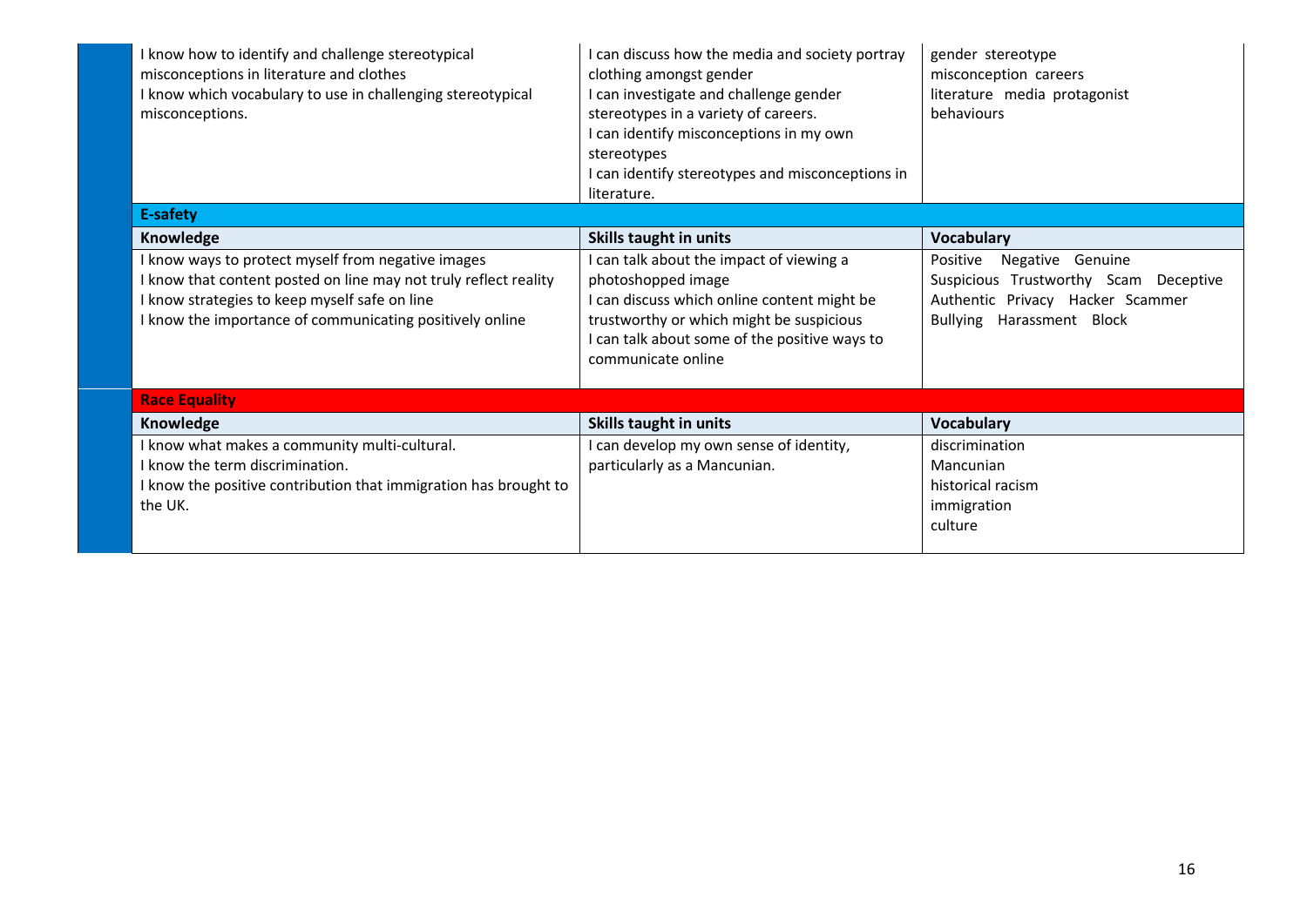| I know how to identify and challenge stereotypical<br>misconceptions in literature and clothes<br>I know which vocabulary to use in challenging stereotypical<br>misconceptions. | I can discuss how the media and society portray<br>clothing amongst gender<br>I can investigate and challenge gender<br>stereotypes in a variety of careers.<br>I can identify misconceptions in my own<br>stereotypes<br>I can identify stereotypes and misconceptions in<br>literature. | gender stereotype<br>misconception careers<br>literature media protagonist<br>behaviours |
|----------------------------------------------------------------------------------------------------------------------------------------------------------------------------------|-------------------------------------------------------------------------------------------------------------------------------------------------------------------------------------------------------------------------------------------------------------------------------------------|------------------------------------------------------------------------------------------|
| E-safety                                                                                                                                                                         |                                                                                                                                                                                                                                                                                           |                                                                                          |
| Knowledge                                                                                                                                                                        | Skills taught in units                                                                                                                                                                                                                                                                    | <b>Vocabulary</b>                                                                        |
| I know ways to protect myself from negative images                                                                                                                               | can talk about the impact of viewing a                                                                                                                                                                                                                                                    | Positive<br>Negative Genuine                                                             |
| I know that content posted on line may not truly reflect reality                                                                                                                 | photoshopped image                                                                                                                                                                                                                                                                        | Suspicious Trustworthy Scam Deceptive                                                    |
| I know strategies to keep myself safe on line                                                                                                                                    | I can discuss which online content might be                                                                                                                                                                                                                                               | Authentic Privacy Hacker Scammer                                                         |
| I know the importance of communicating positively online                                                                                                                         | trustworthy or which might be suspicious<br>I can talk about some of the positive ways to<br>communicate online                                                                                                                                                                           | <b>Bullying</b><br>Harassment Block                                                      |
| <b>Race Equality</b>                                                                                                                                                             |                                                                                                                                                                                                                                                                                           |                                                                                          |
| Knowledge                                                                                                                                                                        | <b>Skills taught in units</b>                                                                                                                                                                                                                                                             | <b>Vocabulary</b>                                                                        |
| I know what makes a community multi-cultural.                                                                                                                                    | can develop my own sense of identity,                                                                                                                                                                                                                                                     | discrimination                                                                           |
| I know the term discrimination.                                                                                                                                                  | particularly as a Mancunian.                                                                                                                                                                                                                                                              | Mancunian                                                                                |
| I know the positive contribution that immigration has brought to                                                                                                                 |                                                                                                                                                                                                                                                                                           | historical racism                                                                        |
| the UK.                                                                                                                                                                          |                                                                                                                                                                                                                                                                                           | immigration                                                                              |
|                                                                                                                                                                                  |                                                                                                                                                                                                                                                                                           | culture                                                                                  |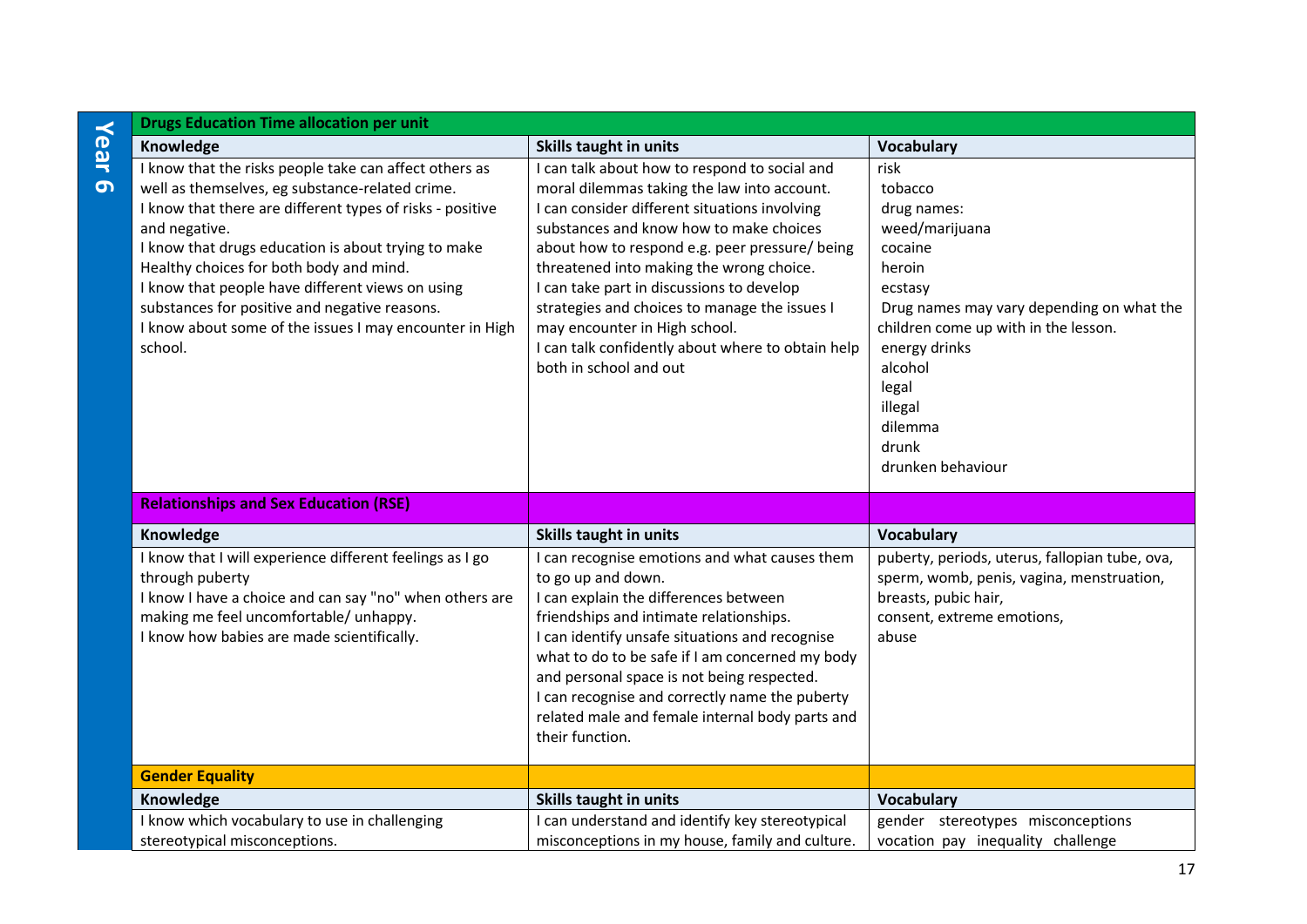|                  | <b>Drugs Education Time allocation per unit</b>                                                                                                                                                                                                                                                                                                                                                                                                                      |                                                                                                                                                                                                                                                                                                                                                                                                                                                                                                      |                                                                                                                                                                                                                                                                |
|------------------|----------------------------------------------------------------------------------------------------------------------------------------------------------------------------------------------------------------------------------------------------------------------------------------------------------------------------------------------------------------------------------------------------------------------------------------------------------------------|------------------------------------------------------------------------------------------------------------------------------------------------------------------------------------------------------------------------------------------------------------------------------------------------------------------------------------------------------------------------------------------------------------------------------------------------------------------------------------------------------|----------------------------------------------------------------------------------------------------------------------------------------------------------------------------------------------------------------------------------------------------------------|
|                  | Knowledge                                                                                                                                                                                                                                                                                                                                                                                                                                                            | <b>Skills taught in units</b>                                                                                                                                                                                                                                                                                                                                                                                                                                                                        | <b>Vocabulary</b>                                                                                                                                                                                                                                              |
| Year<br>$\sigma$ | I know that the risks people take can affect others as<br>well as themselves, eg substance-related crime.<br>I know that there are different types of risks - positive<br>and negative.<br>I know that drugs education is about trying to make<br>Healthy choices for both body and mind.<br>I know that people have different views on using<br>substances for positive and negative reasons.<br>I know about some of the issues I may encounter in High<br>school. | I can talk about how to respond to social and<br>moral dilemmas taking the law into account.<br>I can consider different situations involving<br>substances and know how to make choices<br>about how to respond e.g. peer pressure/ being<br>threatened into making the wrong choice.<br>I can take part in discussions to develop<br>strategies and choices to manage the issues I<br>may encounter in High school.<br>I can talk confidently about where to obtain help<br>both in school and out | risk<br>tobacco<br>drug names:<br>weed/marijuana<br>cocaine<br>heroin<br>ecstasy<br>Drug names may vary depending on what the<br>children come up with in the lesson.<br>energy drinks<br>alcohol<br>legal<br>illegal<br>dilemma<br>drunk<br>drunken behaviour |
|                  | <b>Relationships and Sex Education (RSE)</b>                                                                                                                                                                                                                                                                                                                                                                                                                         |                                                                                                                                                                                                                                                                                                                                                                                                                                                                                                      |                                                                                                                                                                                                                                                                |
|                  | Knowledge                                                                                                                                                                                                                                                                                                                                                                                                                                                            | <b>Skills taught in units</b>                                                                                                                                                                                                                                                                                                                                                                                                                                                                        | Vocabulary                                                                                                                                                                                                                                                     |
|                  | I know that I will experience different feelings as I go<br>through puberty<br>I know I have a choice and can say "no" when others are<br>making me feel uncomfortable/ unhappy.<br>I know how babies are made scientifically.                                                                                                                                                                                                                                       | I can recognise emotions and what causes them<br>to go up and down.<br>I can explain the differences between<br>friendships and intimate relationships.<br>I can identify unsafe situations and recognise<br>what to do to be safe if I am concerned my body<br>and personal space is not being respected.<br>I can recognise and correctly name the puberty<br>related male and female internal body parts and<br>their function.                                                                   | puberty, periods, uterus, fallopian tube, ova,<br>sperm, womb, penis, vagina, menstruation,<br>breasts, pubic hair,<br>consent, extreme emotions,<br>abuse                                                                                                     |
|                  | <b>Gender Equality</b>                                                                                                                                                                                                                                                                                                                                                                                                                                               |                                                                                                                                                                                                                                                                                                                                                                                                                                                                                                      |                                                                                                                                                                                                                                                                |
|                  | Knowledge                                                                                                                                                                                                                                                                                                                                                                                                                                                            | <b>Skills taught in units</b>                                                                                                                                                                                                                                                                                                                                                                                                                                                                        | Vocabulary                                                                                                                                                                                                                                                     |
|                  | I know which vocabulary to use in challenging<br>stereotypical misconceptions.                                                                                                                                                                                                                                                                                                                                                                                       | I can understand and identify key stereotypical<br>misconceptions in my house, family and culture.                                                                                                                                                                                                                                                                                                                                                                                                   | gender stereotypes misconceptions<br>vocation pay inequality challenge                                                                                                                                                                                         |